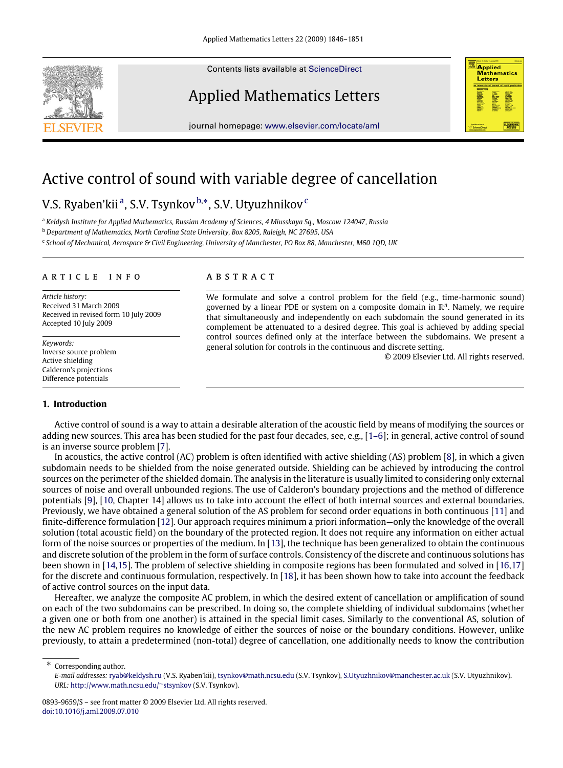Contents lists available at [ScienceDirect](http://www.elsevier.com/locate/aml)

# Applied Mathematics Letters

journal homepage: [www.elsevier.com/locate/aml](http://www.elsevier.com/locate/aml)

# Active control of sound with variable degree of cancellation

# V.S. Ry[a](#page-0-0)ben'kii <sup>a</sup>, S.V. Tsynkov <sup>[b,](#page-0-1)</sup>\*, S.V. Utyuzhnikov <sup>[c](#page-0-3)</sup>

<span id="page-0-0"></span><sup>a</sup> *Keldysh Institute for Applied Mathematics, Russian Academy of Sciences, 4 Miusskaya Sq., Moscow 124047, Russia*

<span id="page-0-1"></span><sup>b</sup> *Department of Mathematics, North Carolina State University, Box 8205, Raleigh, NC 27695, USA*

<span id="page-0-3"></span>c *School of Mechanical, Aerospace & Civil Engineering, University of Manchester, PO Box 88, Manchester, M60 1QD, UK*

#### a r t i c l e i n f o

*Article history:* Received 31 March 2009 Received in revised form 10 July 2009 Accepted 10 July 2009

*Keywords:* Inverse source problem Active shielding Calderon's projections Difference potentials

# **1. Introduction**

# a b s t r a c t

We formulate and solve a control problem for the field (e.g., time-harmonic sound) governed by a linear PDE or system on a composite domain in R *n* . Namely, we require that simultaneously and independently on each subdomain the sound generated in its complement be attenuated to a desired degree. This goal is achieved by adding special control sources defined only at the interface between the subdomains. We present a general solution for controls in the continuous and discrete setting.

© 2009 Elsevier Ltd. All rights reserved.

**Applied** *Mathematics* Letters

Active control of sound is a way to attain a desirable alteration of the acoustic field by means of modifying the sources or adding new sources. This area has been studied for the past four decades, see, e.g., [\[1–6\]](#page-4-0); in general, active control of sound is an inverse source problem [\[7\]](#page-4-1).

In acoustics, the active control (AC) problem is often identified with active shielding (AS) problem [\[8\]](#page-5-0), in which a given subdomain needs to be shielded from the noise generated outside. Shielding can be achieved by introducing the control sources on the perimeter of the shielded domain. The analysis in the literature is usually limited to considering only external sources of noise and overall unbounded regions. The use of Calderon's boundary projections and the method of difference potentials [\[9\]](#page-5-1), [\[10,](#page-5-2) Chapter 14] allows us to take into account the effect of both internal sources and external boundaries. Previously, we have obtained a general solution of the AS problem for second order equations in both continuous [\[11\]](#page-5-3) and finite-difference formulation [\[12\]](#page-5-4). Our approach requires minimum a priori information—only the knowledge of the overall solution (total acoustic field) on the boundary of the protected region. It does not require any information on either actual form of the noise sources or properties of the medium. In [\[13\]](#page-5-5), the technique has been generalized to obtain the continuous and discrete solution of the problem in the form of surface controls. Consistency of the discrete and continuous solutions has been shown in [\[14,](#page-5-6)[15\]](#page-5-7). The problem of selective shielding in composite regions has been formulated and solved in [\[16,](#page-5-8)[17\]](#page-5-9) for the discrete and continuous formulation, respectively. In [\[18\]](#page-5-10), it has been shown how to take into account the feedback of active control sources on the input data.

Hereafter, we analyze the composite AC problem, in which the desired extent of cancellation or amplification of sound on each of the two subdomains can be prescribed. In doing so, the complete shielding of individual subdomains (whether a given one or both from one another) is attained in the special limit cases. Similarly to the conventional AS, solution of the new AC problem requires no knowledge of either the sources of noise or the boundary conditions. However, unlike previously, to attain a predetermined (non-total) degree of cancellation, one additionally needs to know the contribution

Corresponding author.



<span id="page-0-2"></span>*E-mail addresses:* [ryab@keldysh.ru](mailto:ryab@keldysh.ru) (V.S. Ryaben'kii), [tsynkov@math.ncsu.edu](mailto:tsynkov@math.ncsu.edu) (S.V. Tsynkov), [S.Utyuzhnikov@manchester.ac.uk](mailto:S.Utyuzhnikov@manchester.ac.uk) (S.V. Utyuzhnikov). *URL:* [http://www.math.ncsu.edu/](http://www.math.ncsu.edu/~stsynkov)∼[stsynkov](http://www.math.ncsu.edu/~stsynkov) (S.V. Tsynkov).

<sup>0893-9659/\$ –</sup> see front matter © 2009 Elsevier Ltd. All rights reserved. [doi:10.1016/j.aml.2009.07.010](http://dx.doi.org/10.1016/j.aml.2009.07.010)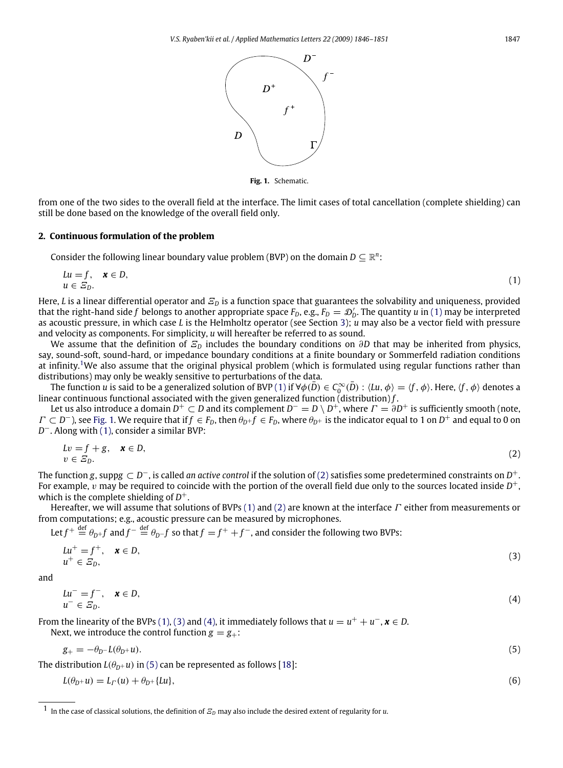

<span id="page-1-4"></span><span id="page-1-3"></span><span id="page-1-0"></span>**Fig. 1.** Schematic.

<span id="page-1-2"></span>from one of the two sides to the overall field at the interface. The limit cases of total cancellation (complete shielding) can still be done based on the knowledge of the overall field only.

### <span id="page-1-8"></span>**2. Continuous formulation of the problem**

Consider the following linear boundary value problem (BVP) on the domain  $D \subseteq \mathbb{R}^n$ :

$$
Lu = f, \quad \mathbf{x} \in D, \tag{1}
$$
\n
$$
u \in E_D.
$$

Here, *L* is a linear differential operator and Ξ*<sup>D</sup>* is a function space that guarantees the solvability and uniqueness, provided that the right-hand side f belongs to another appropriate space  $F_D$ , e.g.,  $F_D = D'_D$ . The quantity *u* in [\(1\)](#page-1-0) may be interpreted as acoustic pressure, in which case *L* is the Helmholtz operator (see Section [3\)](#page-3-0); *u* may also be a vector field with pressure and velocity as components. For simplicity, *u* will hereafter be referred to as sound.

We assume that the definition of  $E<sub>D</sub>$  includes the boundary conditions on  $\partial D$  that may be inherited from physics, say, sound-soft, sound-hard, or impedance boundary conditions at a finite boundary or Sommerfeld radiation conditions at infinity.[1](#page-1-1)We also assume that the original physical problem (which is formulated using regular functions rather than distributions) may only be weakly sensitive to perturbations of the data.

The function  $u$  is said to be a generalized solution of BVP [\(1\)](#page-1-0) if  $\forall\phi(\bar D)\in C_0^\infty(\bar D)$  :  $\langle Lu,\phi\rangle=\langle f,\phi\rangle.$  Here,  $\langle f,\phi\rangle$  denotes a linear continuous functional associated with the given generalized function (distribution) *f* .

Let us also introduce a domain  $D^+\subset D$  and its complement  $D^-=D\setminus D^+$ , where  $\varGamma=\partial D^+$  is sufficiently smooth (note,  $\Gamma\subset D^-$ ), see [Fig. 1.](#page-1-2) We require that if  $f\in F_D$ , then  $\theta_D$   $f\in F_D$ , where  $\theta_{D^+}$  is the indicator equal to 1 on  $D^+$  and equal to 0 on *D*<sup>−</sup>. Along with [\(1\),](#page-1-0) consider a similar BVP:

$$
Lv = f + g, \quad \mathbf{x} \in D, \tag{2}
$$

$$
v \in E_D.
$$

The function *g*, supp*g* ⊂ *D* <sup>−</sup>, is called *an active control* if the solution of [\(2\)](#page-1-3) satisfies some predetermined constraints on *D* +. For example,  $\hat{v}$  may be required to coincide with the portion of the overall field due only to the sources located inside  $D^+$ , which is the complete shielding of *D* +.

Hereafter, we will assume that solutions of BVPs [\(1\)](#page-1-0) and [\(2\)](#page-1-3) are known at the interface  $\Gamma$  either from measurements or from computations; e.g., acoustic pressure can be measured by microphones.

Let  $f^+ \stackrel{\text{def}}{=} \theta_{D^+} f$  and  $f^- \stackrel{\text{def}}{=} \theta_{D^-} f$  so that  $f = f^+ + f^-$ , and consider the following two BVPs:

$$
Lu^{+} = f^{+}, \quad \mathbf{x} \in D, \tag{3}
$$

$$
u^{+} \in E_{D}, \tag{3}
$$

and

<span id="page-1-5"></span>
$$
Lu^{-} = f^{-}, \quad \mathbf{x} \in D,
$$
  
\n
$$
u^{-} \in \mathcal{E}_{D}.
$$
\n(4)

From the linearity of the BVPs [\(1\),](#page-1-0) [\(3\)](#page-1-4) and [\(4\),](#page-1-5) it immediately follows that  $u = u^+ + u^-, x \in D$ . Next, we introduce the control function  $g = g_+$ :

$$
g_{+} = -\theta_{D} - L(\theta_{D} + u). \tag{5}
$$

The distribution  $L(\theta_{D+}u)$  in [\(5\)](#page-1-6) can be represented as follows [\[18\]](#page-5-10):

<span id="page-1-7"></span><span id="page-1-6"></span>
$$
L(\theta_D + u) = L_T(u) + \theta_D + \{Lu\},\tag{6}
$$

<span id="page-1-1"></span><sup>1</sup> In the case of classical solutions, the definition of Ξ*<sup>D</sup>* may also include the desired extent of regularity for *<sup>u</sup>*.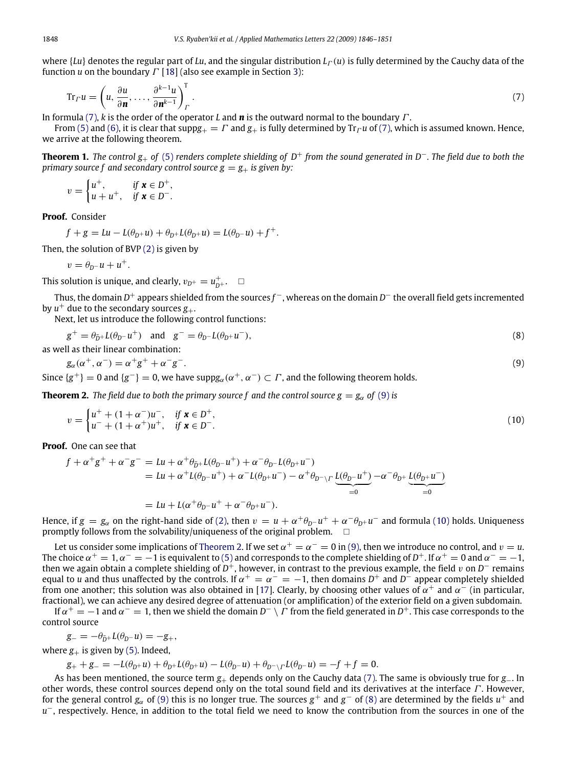where  ${Lu}$  denotes the regular part of *Lu*, and the singular distribution  $L<sub>1</sub>(u)$  is fully determined by the Cauchy data of the function *u* on the boundary Γ [\[18\]](#page-5-10) (also see example in Section [3\)](#page-3-0):

<span id="page-2-0"></span>
$$
\operatorname{Tr}_{\varGamma} u = \left( u, \frac{\partial u}{\partial n}, \dots, \frac{\partial^{k-1} u}{\partial n^{k-1}} \right)_{\varGamma}^{\mathrm{T}}.
$$
\n<sup>(7)</sup>

In formula [\(7\),](#page-2-0) *k* is the order of the operator *L* and *n* is the outward normal to the boundary Γ .

From [\(5\)](#page-1-6) and [\(6\),](#page-1-7) it is clear that supp $g_{\perp} = \Gamma$  and  $g_{\perp}$  is fully determined by Tr<sub>Γ</sub>u of [\(7\),](#page-2-0) which is assumed known. Hence, we arrive at the following theorem.

**Theorem 1.** *The control g*<sup>+</sup> *of* [\(5\)](#page-1-6) *renders complete shielding of D*<sup>+</sup> *from the sound generated in D*−*. The field due to both the primary source f and secondary control source*  $g = g_+$  *is given by:* 

$$
v = \begin{cases} u^+, & \text{if } x \in D^+, \\ u + u^+, & \text{if } x \in D^-. \end{cases}
$$

**Proof.** Consider

$$
f + g = Lu - L(\theta_{D^+}u) + \theta_{D^+}L(\theta_{D^+}u) = L(\theta_{D^-}u) + f^+.
$$

Then, the solution of BVP [\(2\)](#page-1-3) is given by

<span id="page-2-4"></span>
$$
v=\theta_{D^-}u+u^+.
$$

This solution is unique, and clearly,  $v_{D^+} = u_{D^+}^+$ .  $\Box$ 

Thus, the domain *D* <sup>+</sup> appears shielded from the sources *f* <sup>−</sup>, whereas on the domain *D* <sup>−</sup> the overall field gets incremented by  $u^+$  due to the secondary sources  $g_+$ .

Next, let us introduce the following control functions:

$$
g^+ = \theta_{\bar{D}^+} L(\theta_{D^-} u^+)
$$
 and  $g^- = \theta_{D^-} L(\theta_{D^+} u^-)$ ,  
as well as their linear combination: (8)

 $g_{\alpha}(\alpha^+, \alpha^-) = \alpha^+ g^+ + \alpha^- g^-$ .  $(9)$ 

Since  $\{g^+\}=0$  and  $\{g^-\}=0$ , we have supp $g_\alpha(\alpha^+,\alpha^-)\subset\varGamma$ , and the following theorem holds.

**Theorem 2.** The field due to both the primary source f and the control source  $g = g_\alpha$  of [\(9\)](#page-2-1) is

<span id="page-2-3"></span><span id="page-2-2"></span><span id="page-2-1"></span>
$$
v = \begin{cases} u^+ + (1 + \alpha^-)u^-, & \text{if } \mathbf{x} \in D^+, \\ u^- + (1 + \alpha^+)u^+, & \text{if } \mathbf{x} \in D^-. \end{cases}
$$
 (10)

**Proof.** One can see that

$$
f + \alpha^{+}g^{+} + \alpha^{-}g^{-} = Lu + \alpha^{+}\theta_{\bar{D}^{+}}L(\theta_{D^{-}}u^{+}) + \alpha^{-}\theta_{D^{-}}L(\theta_{D^{+}}u^{-})
$$
  
= Lu +  $\alpha^{+}L(\theta_{D^{-}}u^{+}) + \alpha^{-}L(\theta_{D^{+}}u^{-}) - \alpha^{+}\theta_{D^{-}\backslash\Gamma}$ 
$$
= Lu + L(\alpha^{+}\theta_{D^{-}}u^{+} + \alpha^{-}\theta_{D^{+}}u^{-}).
$$

Hence, if  $g = g_\alpha$  on the right-hand side of [\(2\),](#page-1-3) then  $v = u + \alpha^+ \theta_{D^-} u^+ + \alpha^- \theta_{D^+} u^-$  and formula [\(10\)](#page-2-2) holds. Uniqueness promptly follows from the solvability/uniqueness of the original problem.  $\square$ 

Let us consider some implications of [Theorem 2.](#page-2-3) If we set  $\alpha^+=\alpha^-=0$  in [\(9\),](#page-2-1) then we introduce no control, and  $v=u.$ The choice  $\alpha^+=1$ ,  $\alpha^-=$   $-1$  is equivalent to [\(5\)](#page-1-6) and corresponds to the complete shielding of  $D^+$ . If  $\alpha^+=0$  and  $\alpha^-=$   $-1$ , then we again obtain a complete shielding of  $D^+$ , however, in contrast to the previous example, the field v on  $D^-$  remains equal to *u* and thus unaffected by the controls. If  $\alpha^+ = \alpha^- = -1$ , then domains  $D^+$  and  $D^-$  appear completely shielded from one another; this solution was also obtained in [\[17\]](#page-5-9). Clearly, by choosing other values of  $\alpha^+$  and  $\alpha^-$  (in particular, fractional), we can achieve any desired degree of attenuation (or amplification) of the exterior field on a given subdomain.

If  $\alpha^+=-1$  and  $\alpha^-=1$ , then we shield the domain  $D^-\setminus\Gamma$  from the field generated in  $D^+$ . This case corresponds to the control source

$$
g_- = -\theta_{\bar{D}^+} L(\theta_{D^-} u) = -g_+,
$$

where  $g_{+}$  is given by [\(5\).](#page-1-6) Indeed,

$$
g_+ + g_- = -L(\theta_{D^+}u) + \theta_{D^+}L(\theta_{D^+}u) - L(\theta_{D^-}u) + \theta_{D^- \setminus \Gamma}L(\theta_{D^-}u) = -f + f = 0.
$$

As has been mentioned, the source term *g*+ depends only on the Cauchy data [\(7\).](#page-2-0) The same is obviously true for *g*−. In other words, these control sources depend only on the total sound field and its derivatives at the interface Γ . However, for the general control  $g_\alpha$  of [\(9\)](#page-2-1) this is no longer true. The sources  $g^+$  and  $g^-$  of [\(8\)](#page-2-4) are determined by the fields  $u^+$  and *u*<sup>−</sup>, respectively. Hence, in addition to the total field we need to know the contribution from the sources in one of the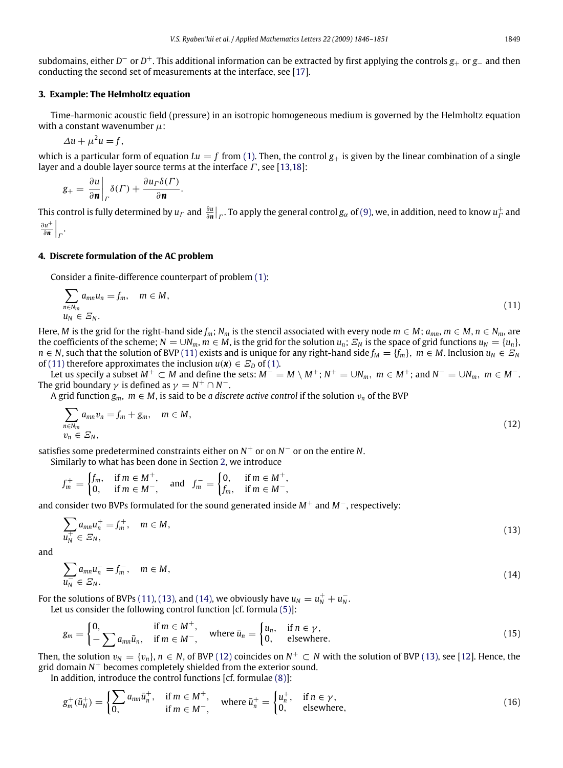subdomains, either *D* <sup>−</sup> or *D* <sup>+</sup>. This additional information can be extracted by first applying the controls *g*<sup>+</sup> or *g*<sup>−</sup> and then conducting the second set of measurements at the interface, see [\[17\]](#page-5-9).

#### <span id="page-3-0"></span>**3. Example: The Helmholtz equation**

Time-harmonic acoustic field (pressure) in an isotropic homogeneous medium is governed by the Helmholtz equation with a constant wavenumber  $\mu$ :

$$
\Delta u + \mu^2 u = f,
$$

which is a particular form of equation  $Lu = f$  from [\(1\).](#page-1-0) Then, the control  $g_+$  is given by the linear combination of a single layer and a double layer source terms at the interface  $\Gamma$ , see [\[13](#page-5-5)[,18\]](#page-5-10):

$$
g_{+} = \frac{\partial u}{\partial \mathbf{n}} \bigg|_{\Gamma} \delta(\Gamma) + \frac{\partial u_{\Gamma} \delta(\Gamma)}{\partial \mathbf{n}}.
$$

This control is fully determined by  $u_{\Gamma}$  and  $\frac{\partial u}{\partial n}|_{\Gamma}$ . To apply the general control  $g_{\alpha}$  of [\(9\),](#page-2-1) we, in addition, need to know  $u_{\Gamma}^+$  and ∂*u* +  $\frac{\partial u^+}{\partial \mathbf{n}}\Big|_T$ .

#### **4. Discrete formulation of the AC problem**

Consider a finite-difference counterpart of problem [\(1\):](#page-1-0)

<span id="page-3-1"></span>
$$
\sum_{n \in N_m} a_{mn} u_n = f_m, \quad m \in M,
$$
\n
$$
u_N \in \mathcal{Z}_N.
$$
\n
$$
(11)
$$

Here, *M* is the grid for the right-hand side  $f_m$ ;  $N_m$  is the stencil associated with every node  $m \in M$ ;  $a_{mn}$ ,  $m \in M$ ,  $n \in N_m$ , are the coefficients of the scheme;  $N = \bigcup N_m$ ,  $m \in M$ , is the grid for the solution  $u_n$ ;  $\mathcal{Z}_N$  is the space of grid functions  $u_N = \{u_n\}$ , *n* ∈ *N*, such that the solution of BVP [\(11\)](#page-3-1) exists and is unique for any right-hand side  $f_M = \{f_m\}$ ,  $m \in M$ . Inclusion  $u_N \in \mathcal{Z}_N$ of [\(11\)](#page-3-1) therefore approximates the inclusion  $u(\mathbf{x}) \in \mathcal{E}_D$  of [\(1\).](#page-1-0)

Let us specify a subset  $M^+ \subset M$  and define the sets:  $M^- = M \setminus M^+$ ;  $N^+ = \cup N_m$ ,  $m \in M^+$ ; and  $N^- = \cup N_m$ ,  $m \in M^-$ . The grid boundary  $\gamma$  is defined as  $\gamma = N^+ \cap N^-$ .

A grid function  $g_m$ ,  $m \in M$ , is said to be *a* discrete active control if the solution  $v_n$  of the BVP

<span id="page-3-4"></span>
$$
\sum_{\substack{n \in N_m \\ v_n \in \mathcal{E}_N}} a_{mn} v_n = f_m + g_m, \quad m \in M,
$$
\n(12)

satisfies some predetermined constraints either on  $N^+$  or on  $N^-$  or on the entire N.

Similarly to what has been done in Section [2,](#page-1-8) we introduce

<span id="page-3-2"></span>
$$
f_m^+ = \begin{cases} f_m, & \text{if } m \in M^+, \\ 0, & \text{if } m \in M^-, \end{cases} \quad \text{and} \quad f_m^- = \begin{cases} 0, & \text{if } m \in M^+, \\ f_m, & \text{if } m \in M^-, \end{cases}
$$

and consider two BVPs formulated for the sound generated inside *M*<sup>+</sup> and *M*−, respectively:

$$
\sum_{u_N^+} a_{mn} u_n^+ = f_m^+, \quad m \in M,
$$
\n
$$
(13)
$$

and

<span id="page-3-3"></span>
$$
\sum_{u_N^-} a_{mn} u_n^- = f_m^-, \quad m \in M,
$$
\n(14)

For the solutions of BVPs [\(11\),](#page-3-1) [\(13\),](#page-3-2) and [\(14\),](#page-3-3) we obviously have  $u_N = u_N^+ + u_N^-$ . Let us consider the following control function [cf. formula [\(5\)\]](#page-1-6):

<span id="page-3-5"></span>
$$
g_m = \begin{cases} 0, & \text{if } m \in M^+, \\ -\sum a_{mn} \bar{u}_n, & \text{if } m \in M^-, \end{cases} \quad \text{where } \bar{u}_n = \begin{cases} u_n, & \text{if } n \in \gamma, \\ 0, & \text{elsewhere.} \end{cases} \tag{15}
$$

Then, the solution  $v_N = \{v_n\}$ ,  $n \in N$ , of BVP [\(12\)](#page-3-4) coincides on  $N^+ \subset N$  with the solution of BVP [\(13\),](#page-3-2) see [\[12\]](#page-5-4). Hence, the grid domain *N* <sup>+</sup> becomes completely shielded from the exterior sound.

In addition, introduce the control functions [cf. formulae [\(8\)\]](#page-2-4):

<span id="page-3-6"></span>
$$
g_m^+(\bar{u}_N^+) = \begin{cases} \sum_{m} a_{mn} \bar{u}_n^+, & \text{if } m \in M^+, \\ 0, & \text{if } m \in M^-, \end{cases} \text{ where } \bar{u}_n^+ = \begin{cases} u_n^+, & \text{if } n \in \gamma, \\ 0, & \text{elsewhere,} \end{cases}
$$
 (16)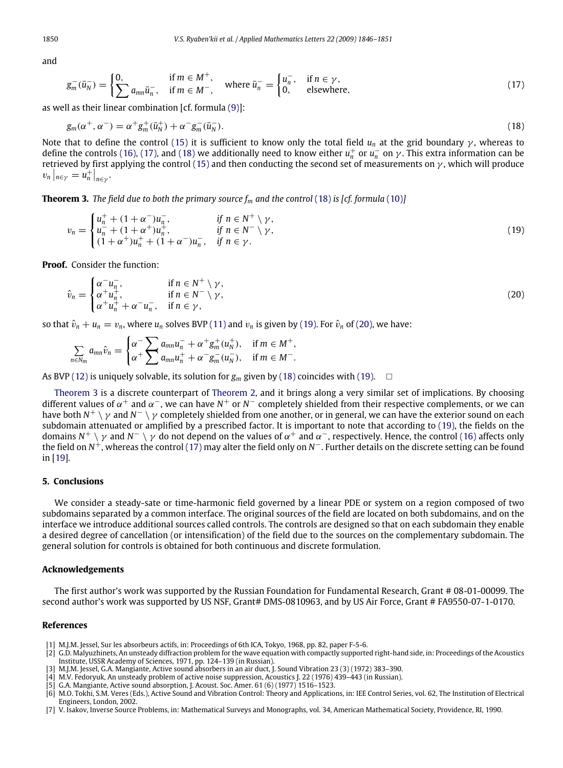and

<span id="page-4-2"></span>
$$
g_m^-(\bar{u}_N^-) = \begin{cases} 0, & \text{if } m \in M^+, \\ \sum a_{mn} \bar{u}_n^-, & \text{if } m \in M^-, \end{cases} \text{ where } \bar{u}_n^- = \begin{cases} u_n^-, & \text{if } n \in \gamma, \\ 0, & \text{elsewhere,} \end{cases}
$$
 (17)

as well as their linear combination [cf. formula [\(9\)\]](#page-2-1):

<span id="page-4-3"></span>
$$
g_m(\alpha^+, \alpha^-) = \alpha^+ g_m^+(\bar{u}_N^+) + \alpha^- g_m^-(\bar{u}_N^-). \tag{18}
$$

Note that to define the control [\(15\)](#page-3-5) it is sufficient to know only the total field  $u_n$  at the grid boundary  $\gamma$ , whereas to define the controls [\(16\),](#page-3-6) [\(17\),](#page-4-2) and [\(18\)](#page-4-3) we additionally need to know either  $u_n^+$  or  $u_n^-$  on  $\gamma$ . This extra information can be retrieved by first applying the control [\(15\)](#page-3-5) and then conducting the second set of measurements on  $\gamma$ , which will produce  $v_n\big|_{n\in\gamma}=u_n^+\big|_{n\in\gamma}.$ 

**Theorem 3.** *The field due to both the primary source*  $f_m$  *and the control* [\(18\)](#page-4-3) *is [cf. formula* [\(10\)](#page-2-2)*]* 

<span id="page-4-6"></span><span id="page-4-4"></span>
$$
v_n = \begin{cases} u_n^+ + (1 + \alpha^-)u_n^-, & \text{if } n \in N^+ \setminus \gamma, \\ u_n^- + (1 + \alpha^+)u_n^+, & \text{if } n \in N^- \setminus \gamma, \\ (1 + \alpha^+)u_n^+ + (1 + \alpha^-)u_n^-, & \text{if } n \in \gamma. \end{cases}
$$
(19)

**Proof.** Consider the function:

$$
\hat{v}_n = \begin{cases}\n\alpha^- u_n^-, & \text{if } n \in N^+ \setminus \gamma, \\
\alpha^+ u_n^+, & \text{if } n \in N^- \setminus \gamma, \\
\alpha^+ u_n^+ + \alpha^- u_n^-, & \text{if } n \in \gamma,\n\end{cases}
$$
\n(20)

so that  $\hat{v}_n + u_n = v_n$ , where  $u_n$  solves BVP [\(11\)](#page-3-1) and  $v_n$  is given by [\(19\).](#page-4-4) For  $\hat{v}_n$  of [\(20\),](#page-4-5) we have:

<span id="page-4-5"></span>
$$
\sum_{n\in N_m} a_{mn} \hat{v}_n = \begin{cases} \alpha^- \sum_{m} a_{mn} u_n^- + \alpha^+ g_m^+ (u_N^+), & \text{if } m \in M^+, \\ \alpha^+ \sum_{m} a_{mn} u_n^+ + \alpha^- g_m^- (u_N^-), & \text{if } m \in M^-. \end{cases}
$$

As BVP [\(12\)](#page-3-4) is uniquely solvable, its solution for  $g_m$  given by [\(18\)](#page-4-3) coincides with [\(19\).](#page-4-4)  $\Box$ 

[Theorem 3](#page-4-6) is a discrete counterpart of [Theorem 2,](#page-2-3) and it brings along a very similar set of implications. By choosing different values of  $\alpha^+$  and  $\alpha^-$ , we can have  $N^+$  or  $N^-$  completely shielded from their respective complements, or we can have both N<sup>+</sup> \γ and N<sup>-</sup> \γ completely shielded from one another, or in general, we can have the exterior sound on each subdomain attenuated or amplified by a prescribed factor. It is important to note that according to [\(19\),](#page-4-4) the fields on the domains  $N^+ \setminus \gamma$  and  $N^- \setminus \gamma$  do not depend on the values of  $\alpha^+$  and  $\alpha^-$ , respectively. Hence, the control [\(16\)](#page-3-6) affects only the field on *N*<sup>+</sup>, whereas the control [\(17\)](#page-4-2) may alter the field only on *N*<sup>−</sup>. Further details on the discrete setting can be found in [\[19\]](#page-5-11).

#### **5. Conclusions**

We consider a steady-sate or time-harmonic field governed by a linear PDE or system on a region composed of two subdomains separated by a common interface. The original sources of the field are located on both subdomains, and on the interface we introduce additional sources called controls. The controls are designed so that on each subdomain they enable a desired degree of cancellation (or intensification) of the field due to the sources on the complementary subdomain. The general solution for controls is obtained for both continuous and discrete formulation.

### **Acknowledgements**

The first author's work was supported by the Russian Foundation for Fundamental Research, Grant # 08-01-00099. The second author's work was supported by US NSF, Grant# DMS-0810963, and by US Air Force, Grant # FA9550-07-1-0170.

## **References**

- <span id="page-4-0"></span>[1] M.J.M. Jessel, Sur les absorbeurs actifs, in: Proceedings of 6th ICA, Tokyo, 1968, pp. 82, paper F-5-6.
- [2] G.D. Malyuzhinets, An unsteady diffraction problem for the wave equation with compactly supported right-hand side, in: Proceedings of the Acoustics Institute, USSR Academy of Sciences, 1971, pp. 124–139 (in Russian).
- [3] M.J.M. Jessel, G.A. Mangiante, Active sound absorbers in an air duct, J. Sound Vibration 23 (3) (1972) 383–390.
- [4] M.V. Fedoryuk, An unsteady problem of active noise suppression, Acoustics J. 22 (1976) 439–443 (in Russian).
- [5] G.A. Mangiante, Active sound absorption, J. Acoust. Soc. Amer. 61 (6) (1977) 1516–1523.

[6] M.O. Tokhi, S.M. Veres (Eds.), Active Sound and Vibration Control: Theory and Applications, in: IEE Control Series, vol. 62, The Institution of Electrical Engineers, London, 2002.

<span id="page-4-1"></span>[7] V. Isakov, Inverse Source Problems, in: Mathematical Surveys and Monographs, vol. 34, American Mathematical Society, Providence, RI, 1990.